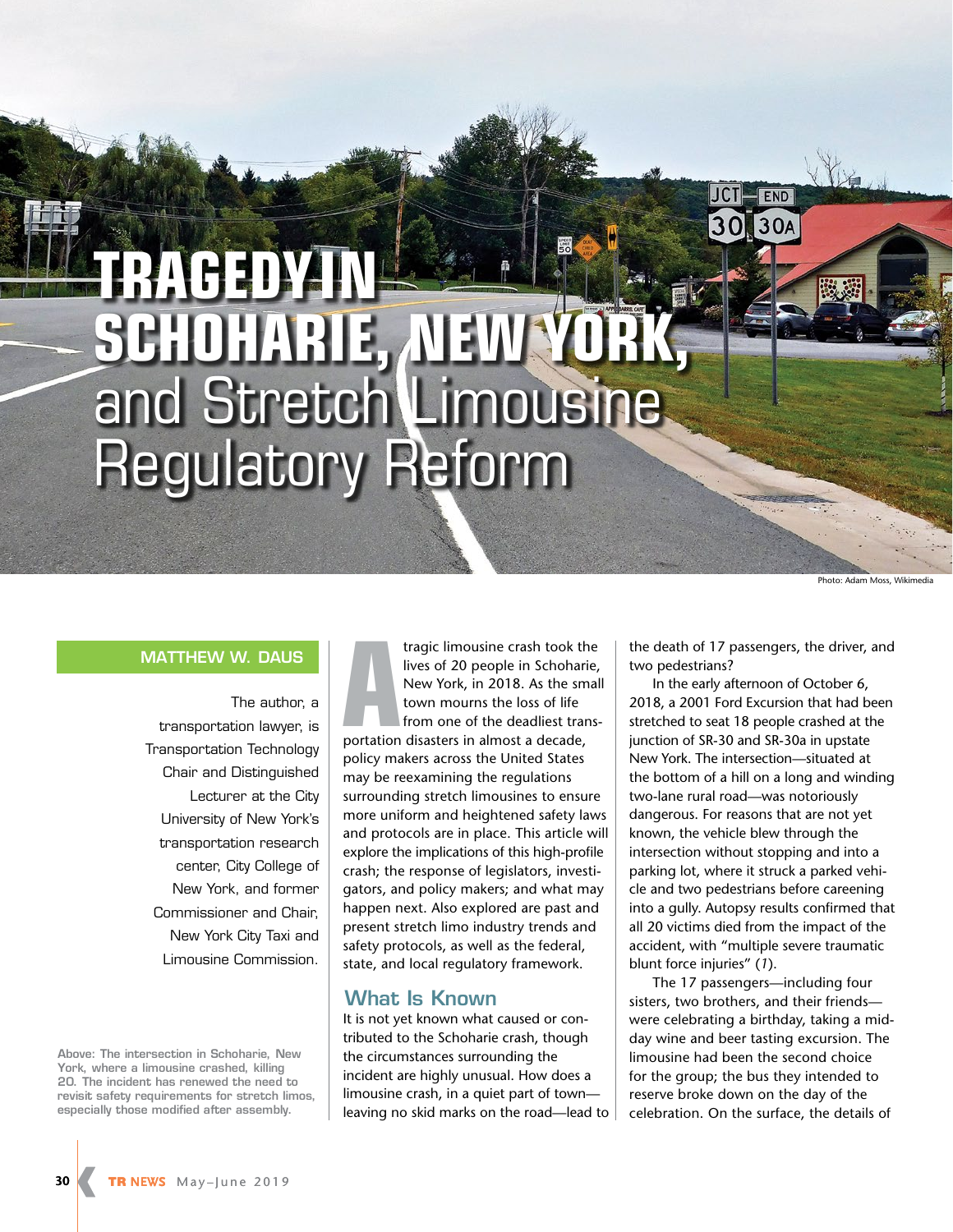# **TRAGEDY IN SCHOHARIE, NEW YORK,** and Stretch Limousine Regulatory Reform

Photo: Adam Moss, Wikimedia

### **MATTHEW W. DAUS**

The author, a transportation lawyer, is Transportation Technology Chair and Distinguished Lecturer at the City University of New York's transportation research center, City College of New York, and former Commissioner and Chair, New York City Taxi and Limousine Commission.

**Above: The intersection in Schoharie, New York, where a limousine crashed, killing 20. The incident has renewed the need to revisit safety requirements for stretch limos, especially those modified after assembly.**

tragic limousine crash took th<br>
lives of 20 people in Schohari<br>
New York, in 2018. As the sm<br>
town mourns the loss of life<br>
from one of the deadliest tran<br>
portation disasters in almost a decade, tragic limousine crash took the lives of 20 people in Schoharie, New York, in 2018. As the small town mourns the loss of life from one of the deadliest transpolicy makers across the United States may be reexamining the regulations surrounding stretch limousines to ensure more uniform and heightened safety laws and protocols are in place. This article will explore the implications of this high-profile crash; the response of legislators, investigators, and policy makers; and what may happen next. Also explored are past and present stretch limo industry trends and safety protocols, as well as the federal, state, and local regulatory framework.

## **What Is Known**

It is not yet known what caused or contributed to the Schoharie crash, though the circumstances surrounding the incident are highly unusual. How does a limousine crash, in a quiet part of town leaving no skid marks on the road—lead to the death of 17 passengers, the driver, and two pedestrians?

END 30A

In the early afternoon of October 6, 2018, a 2001 Ford Excursion that had been stretched to seat 18 people crashed at the junction of SR-30 and SR-30a in upstate New York. The intersection—situated at the bottom of a hill on a long and winding two-lane rural road—was notoriously dangerous. For reasons that are not yet known, the vehicle blew through the intersection without stopping and into a parking lot, where it struck a parked vehicle and two pedestrians before careening into a gully. Autopsy results confirmed that all 20 victims died from the impact of the accident, with "multiple severe traumatic blunt force injuries" (*1*).

The 17 passengers—including four sisters, two brothers, and their friends were celebrating a birthday, taking a midday wine and beer tasting excursion. The limousine had been the second choice for the group; the bus they intended to reserve broke down on the day of the celebration. On the surface, the details of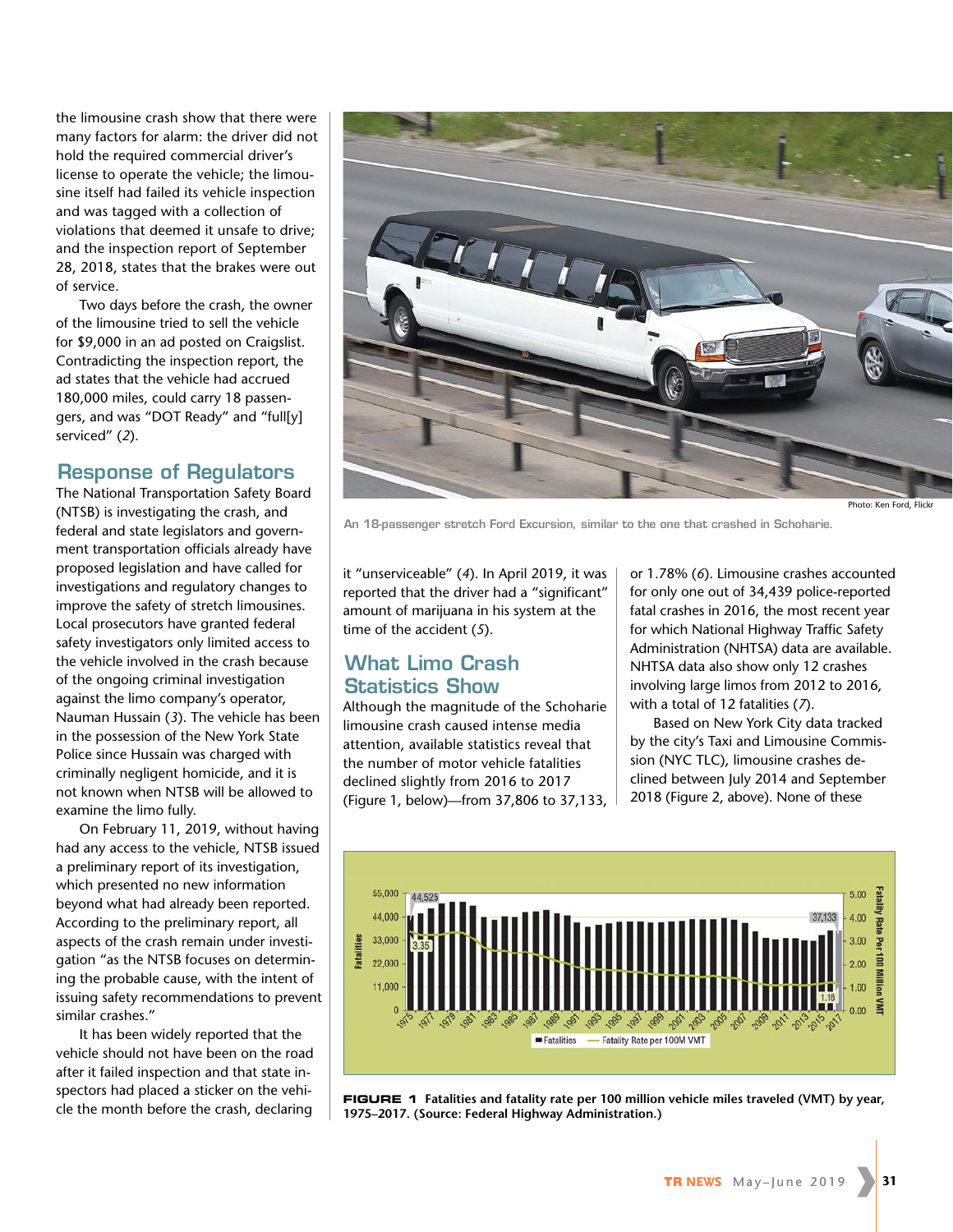the limousine crash show that there were many factors for alarm: the driver did not hold the required commercial driver's license to operate the vehicle; the limousine itself had failed its vehicle inspection and was tagged with a collection of violations that deemed it unsafe to drive; and the inspection report of September 28, 2018, states that the brakes were out of service.

Two days before the crash, the owner of the limousine tried to sell the vehicle for \$9,000 in an ad posted on Craigslist. Contradicting the inspection report, the ad states that the vehicle had accrued 180,000 miles, could carry 18 passengers, and was "DOT Ready" and "full[y] serviced" (*2*).

## **Response of Regulators**

The National Transportation Safety Board (NTSB) is investigating the crash, and federal and state legislators and government transportation officials already have proposed legislation and have called for investigations and regulatory changes to improve the safety of stretch limousines. Local prosecutors have granted federal safety investigators only limited access to the vehicle involved in the crash because of the ongoing criminal investigation against the limo company's operator, Nauman Hussain (*3*). The vehicle has been in the possession of the New York State Police since Hussain was charged with criminally negligent homicide, and it is not known when NTSB will be allowed to examine the limo fully.

On February 11, 2019, without having had any access to the vehicle, NTSB issued a preliminary report of its investigation, which presented no new information beyond what had already been reported. According to the preliminary report, all aspects of the crash remain under investigation "as the NTSB focuses on determining the probable cause, with the intent of issuing safety recommendations to prevent similar crashes."

It has been widely reported that the vehicle should not have been on the road after it failed inspection and that state inspectors had placed a sticker on the vehicle the month before the crash, declaring



hoto: Ken Ford, Flick

**An 18-passenger stretch Ford Excursion, similar to the one that crashed in Schoharie.** 

it "unserviceable" (*4*). In April 2019, it was reported that the driver had a "significant" amount of marijuana in his system at the time of the accident (*5*).

# **What Limo Crash Statistics Show**

Although the magnitude of the Schoharie limousine crash caused intense media attention, available statistics reveal that the number of motor vehicle fatalities declined slightly from 2016 to 2017 (Figure 1, below)—from 37,806 to 37,133,

or 1.78% (*6*). Limousine crashes accounted for only one out of 34,439 police-reported fatal crashes in 2016, the most recent year for which National Highway Traffic Safety Administration (NHTSA) data are available. NHTSA data also show only 12 crashes involving large limos from 2012 to 2016, with a total of 12 fatalities (*7*).

Based on New York City data tracked by the city's Taxi and Limousine Commission (NYC TLC), limousine crashes declined between July 2014 and September 2018 (Figure 2, above). None of these



**FIGURE 1 Fatalities and fatality rate per 100 million vehicle miles traveled (VMT) by year, 1975–2017. (Source: Federal Highway Administration.)**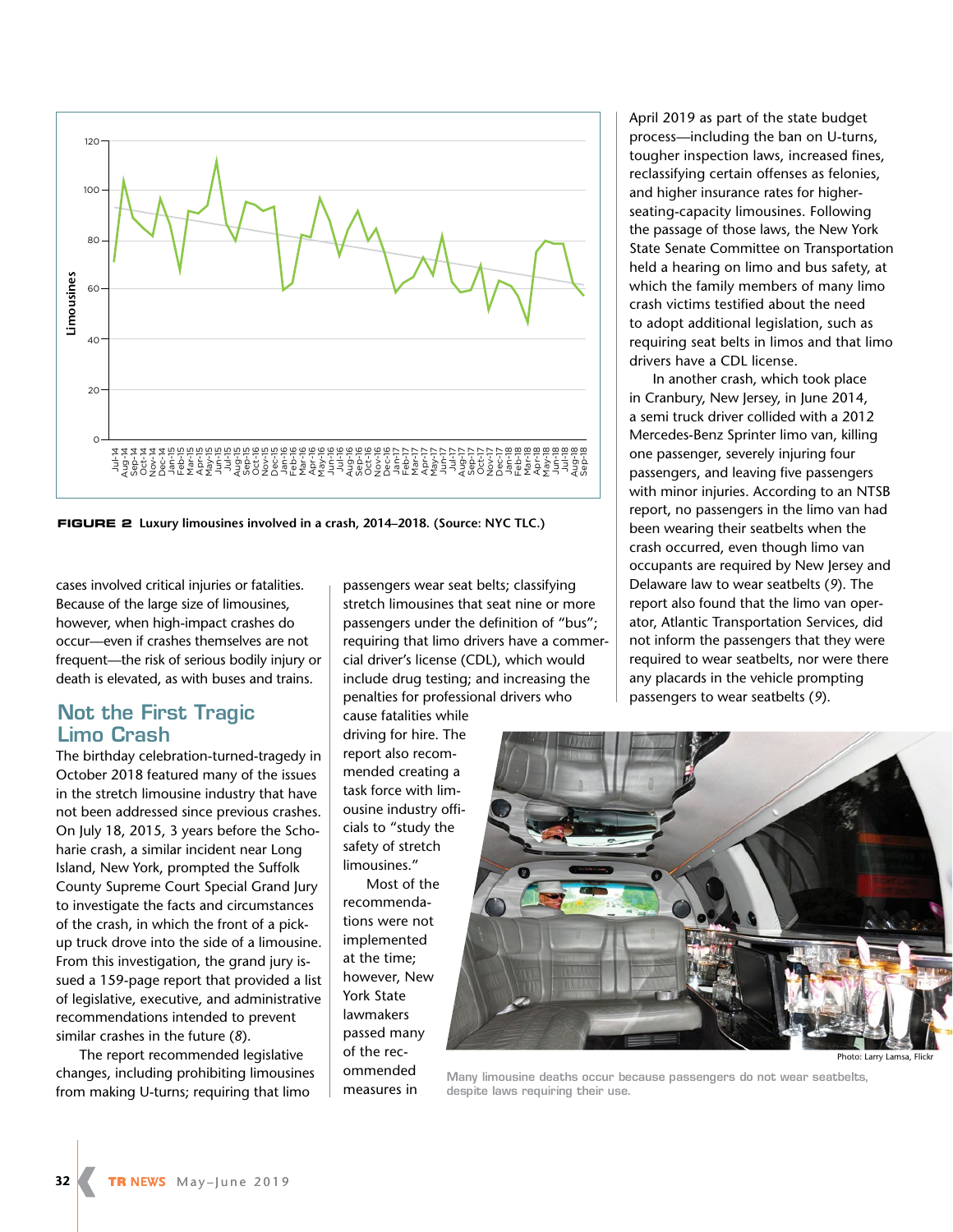

**FIGURE 2 Luxury limousines involved in a crash, 2014–2018. (Source: NYC TLC.)**

cases involved critical injuries or fatalities. Because of the large size of limousines, however, when high-impact crashes do occur—even if crashes themselves are not frequent—the risk of serious bodily injury or death is elevated, as with buses and trains.

# **Not the First Tragic Limo Crash**

The birthday celebration-turned-tragedy in October 2018 featured many of the issues in the stretch limousine industry that have not been addressed since previous crashes. On July 18, 2015, 3 years before the Schoharie crash, a similar incident near Long Island, New York, prompted the Suffolk County Supreme Court Special Grand Jury to investigate the facts and circumstances of the crash, in which the front of a pickup truck drove into the side of a limousine. From this investigation, the grand jury issued a 159-page report that provided a list of legislative, executive, and administrative recommendations intended to prevent similar crashes in the future (*8*).

The report recommended legislative changes, including prohibiting limousines from making U-turns; requiring that limo

passengers wear seat belts; classifying stretch limousines that seat nine or more passengers under the definition of "bus"; requiring that limo drivers have a commercial driver's license (CDL), which would include drug testing; and increasing the penalties for professional drivers who

cause fatalities while driving for hire. The report also recommended creating a task force with limousine industry officials to "study the safety of stretch limousines."

Most of the recommendations were not implemented at the time; however, New York State lawmakers passed many of the recommended measures in

April 2019 as part of the state budget process—including the ban on U-turns, tougher inspection laws, increased fines, reclassifying certain offenses as felonies, and higher insurance rates for higherseating-capacity limousines. Following the passage of those laws, the New York State Senate Committee on Transportation held a hearing on limo and bus safety, at which the family members of many limo crash victims testified about the need to adopt additional legislation, such as requiring seat belts in limos and that limo drivers have a CDL license.

In another crash, which took place in Cranbury, New Jersey, in June 2014, a semi truck driver collided with a 2012 Mercedes-Benz Sprinter limo van, killing one passenger, severely injuring four passengers, and leaving five passengers with minor injuries. According to an NTSB report, no passengers in the limo van had been wearing their seatbelts when the crash occurred, even though limo van occupants are required by New Jersey and Delaware law to wear seatbelts (*9*). The report also found that the limo van operator, Atlantic Transportation Services, did not inform the passengers that they were required to wear seatbelts, nor were there any placards in the vehicle prompting passengers to wear seatbelts (*9*).



Photo: Larry Lamsa, Flickr

**Many limousine deaths occur because passengers do not wear seatbelts, despite laws requiring their use.**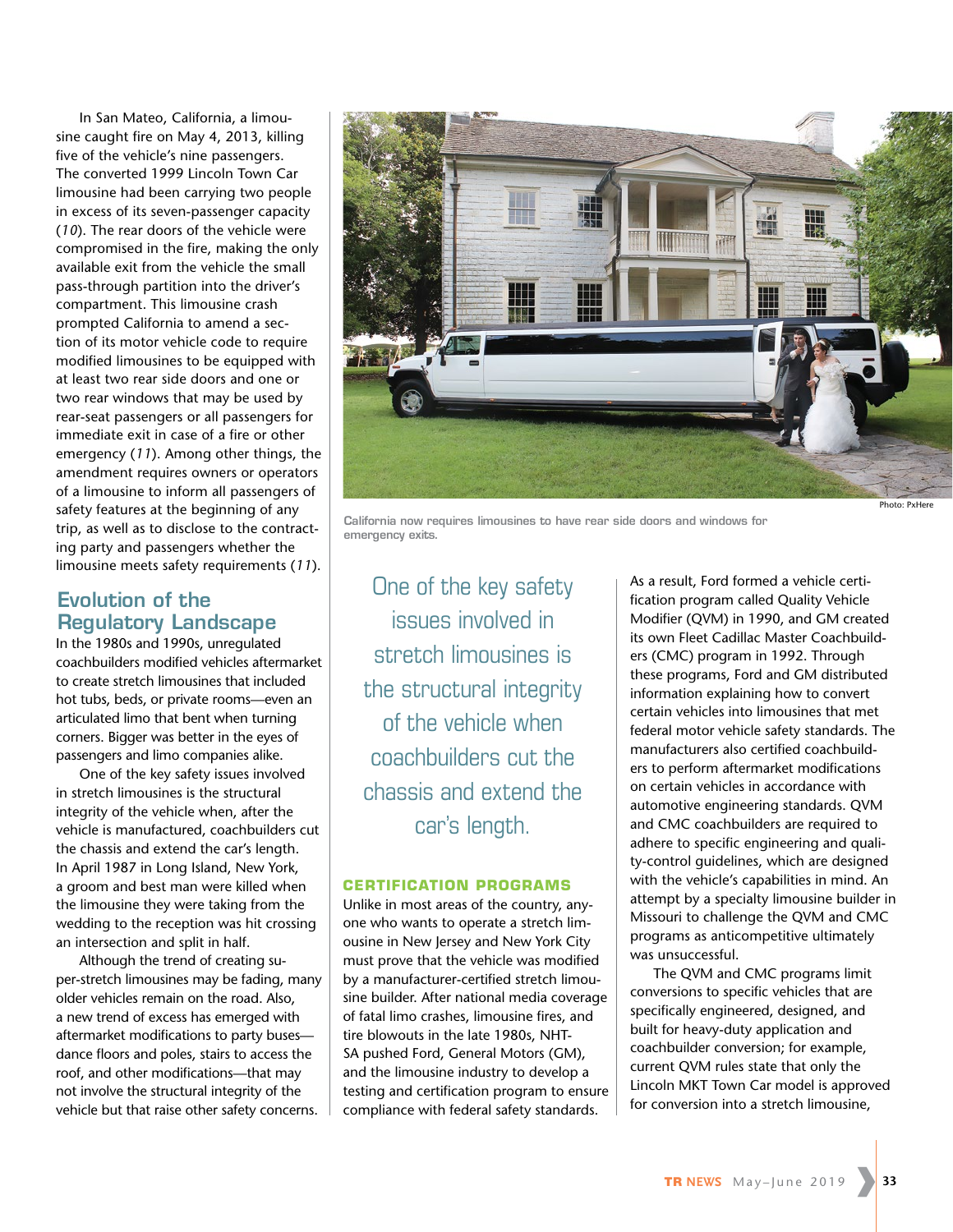In San Mateo, California, a limousine caught fire on May 4, 2013, killing five of the vehicle's nine passengers. The converted 1999 Lincoln Town Car limousine had been carrying two people in excess of its seven-passenger capacity (*10*). The rear doors of the vehicle were compromised in the fire, making the only available exit from the vehicle the small pass-through partition into the driver's compartment. This limousine crash prompted California to amend a section of its motor vehicle code to require modified limousines to be equipped with at least two rear side doors and one or two rear windows that may be used by rear-seat passengers or all passengers for immediate exit in case of a fire or other emergency (*11*). Among other things, the amendment requires owners or operators of a limousine to inform all passengers of safety features at the beginning of any trip, as well as to disclose to the contracting party and passengers whether the limousine meets safety requirements (*11*).

# **Evolution of the Regulatory Landscape**

In the 1980s and 1990s, unregulated coachbuilders modified vehicles aftermarket to create stretch limousines that included hot tubs, beds, or private rooms—even an articulated limo that bent when turning corners. Bigger was better in the eyes of passengers and limo companies alike.

One of the key safety issues involved in stretch limousines is the structural integrity of the vehicle when, after the vehicle is manufactured, coachbuilders cut the chassis and extend the car's length. In April 1987 in Long Island, New York, a groom and best man were killed when the limousine they were taking from the wedding to the reception was hit crossing an intersection and split in half.

Although the trend of creating super-stretch limousines may be fading, many older vehicles remain on the road. Also, a new trend of excess has emerged with aftermarket modifications to party buses dance floors and poles, stairs to access the roof, and other modifications—that may not involve the structural integrity of the vehicle but that raise other safety concerns.



**California now requires limousines to have rear side doors and windows for emergency exits.** 

One of the key safety issues involved in stretch limousines is the structural integrity of the vehicle when coachbuilders cut the chassis and extend the car's length.

#### **CERTIFICATION PROGRAMS**

Unlike in most areas of the country, anyone who wants to operate a stretch limousine in New Jersey and New York City must prove that the vehicle was modified by a manufacturer-certified stretch limousine builder. After national media coverage of fatal limo crashes, limousine fires, and tire blowouts in the late 1980s, NHT-SA pushed Ford, General Motors (GM), and the limousine industry to develop a testing and certification program to ensure compliance with federal safety standards.

As a result, Ford formed a vehicle certification program called Quality Vehicle Modifier (QVM) in 1990, and GM created its own Fleet Cadillac Master Coachbuilders (CMC) program in 1992. Through these programs, Ford and GM distributed information explaining how to convert certain vehicles into limousines that met federal motor vehicle safety standards. The manufacturers also certified coachbuilders to perform aftermarket modifications on certain vehicles in accordance with automotive engineering standards. QVM and CMC coachbuilders are required to adhere to specific engineering and quality-control guidelines, which are designed with the vehicle's capabilities in mind. An attempt by a specialty limousine builder in Missouri to challenge the QVM and CMC programs as anticompetitive ultimately was unsuccessful.

The QVM and CMC programs limit conversions to specific vehicles that are specifically engineered, designed, and built for heavy-duty application and coachbuilder conversion; for example, current QVM rules state that only the Lincoln MKT Town Car model is approved for conversion into a stretch limousine,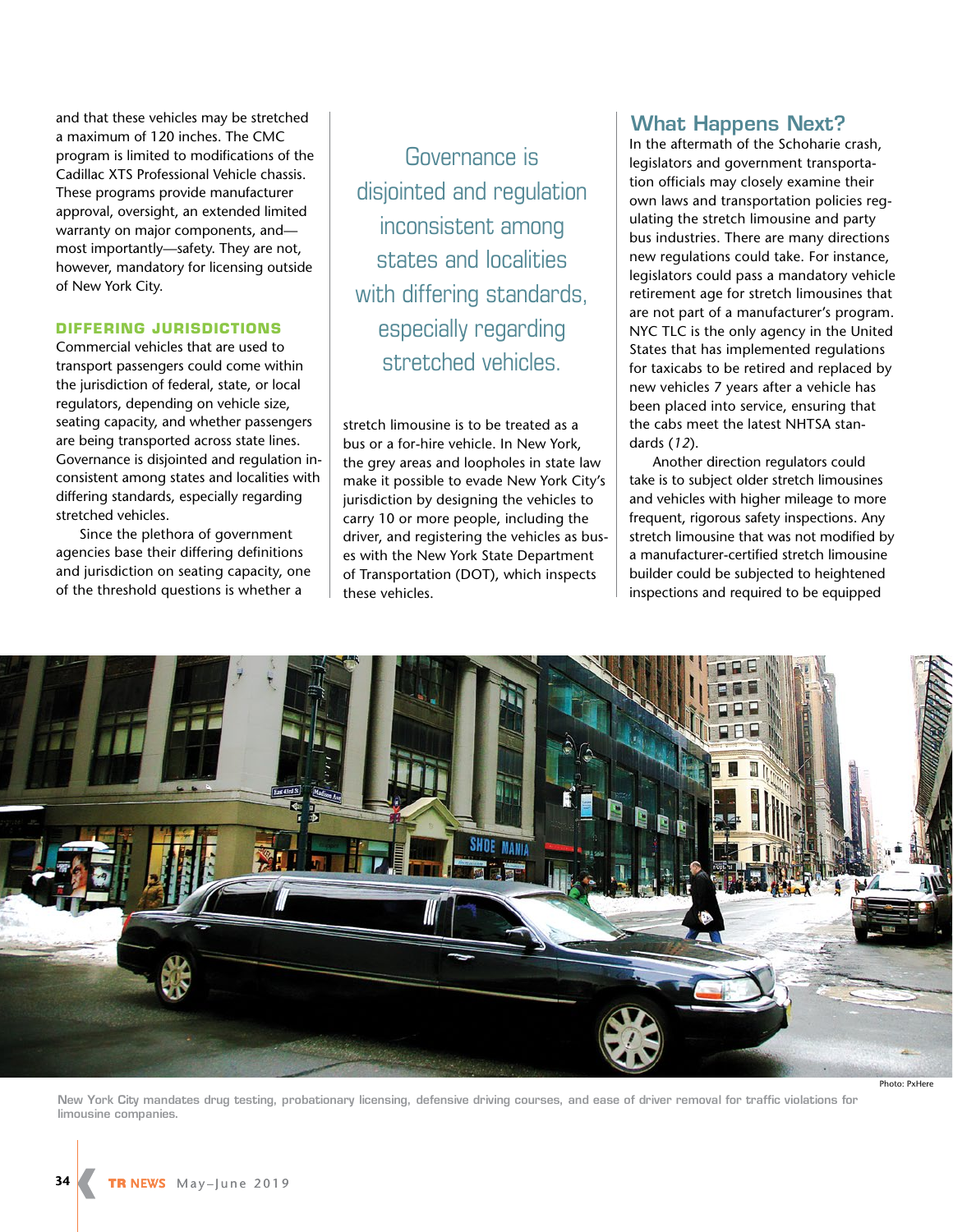and that these vehicles may be stretched a maximum of 120 inches. The CMC program is limited to modifications of the Cadillac XTS Professional Vehicle chassis. These programs provide manufacturer approval, oversight, an extended limited warranty on major components, and most importantly—safety. They are not, however, mandatory for licensing outside of New York City.

#### **DIFFERING JURISDICTIONS**

Commercial vehicles that are used to transport passengers could come within the jurisdiction of federal, state, or local regulators, depending on vehicle size, seating capacity, and whether passengers are being transported across state lines. Governance is disjointed and regulation inconsistent among states and localities with differing standards, especially regarding stretched vehicles.

Since the plethora of government agencies base their differing definitions and jurisdiction on seating capacity, one of the threshold questions is whether a

Governance is disjointed and regulation inconsistent among states and localities with differing standards, especially regarding stretched vehicles.

stretch limousine is to be treated as a bus or a for-hire vehicle. In New York, the grey areas and loopholes in state law make it possible to evade New York City's jurisdiction by designing the vehicles to carry 10 or more people, including the driver, and registering the vehicles as buses with the New York State Department of Transportation (DOT), which inspects these vehicles.

## **What Happens Next?**

In the aftermath of the Schoharie crash, legislators and government transportation officials may closely examine their own laws and transportation policies regulating the stretch limousine and party bus industries. There are many directions new regulations could take. For instance, legislators could pass a mandatory vehicle retirement age for stretch limousines that are not part of a manufacturer's program. NYC TLC is the only agency in the United States that has implemented regulations for taxicabs to be retired and replaced by new vehicles 7 years after a vehicle has been placed into service, ensuring that the cabs meet the latest NHTSA standards (*12*).

Another direction regulators could take is to subject older stretch limousines and vehicles with higher mileage to more frequent, rigorous safety inspections. Any stretch limousine that was not modified by a manufacturer-certified stretch limousine builder could be subjected to heightened inspections and required to be equipped



**New York City mandates drug testing, probationary licensing, defensive driving courses, and ease of driver removal for traffic violations for limousine companies.**